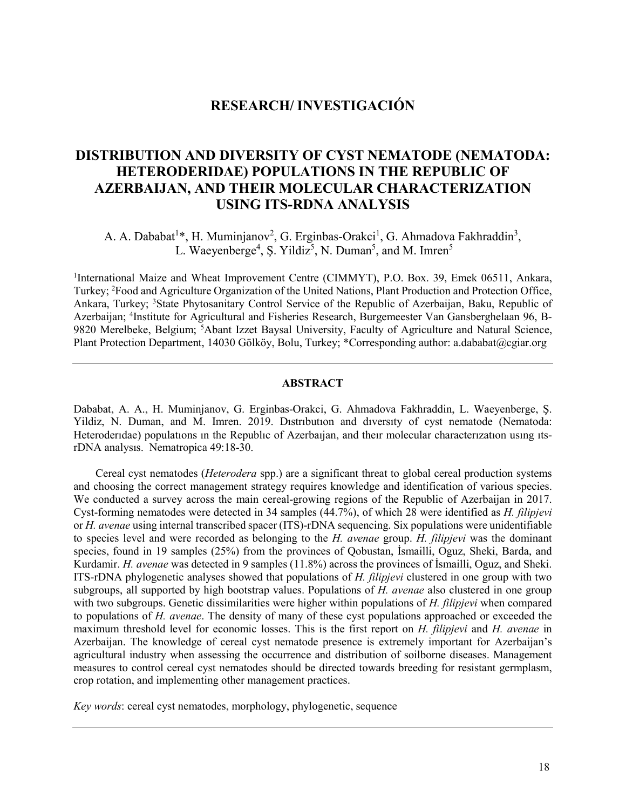# **RESEARCH/ INVESTIGACIÓN**

## **DISTRIBUTION AND DIVERSITY OF CYST NEMATODE (NEMATODA: HETERODERIDAE) POPULATIONS IN THE REPUBLIC OF AZERBAIJAN, AND THEIR MOLECULAR CHARACTERIZATION USING ITS-RDNA ANALYSIS**

A. A. Dababat<sup>1</sup>\*, H. Muminjanov<sup>2</sup>, G. Erginbas-Orakci<sup>1</sup>, G. Ahmadova Fakhraddin<sup>3</sup>, L. Waeyenberge<sup>4</sup>, Ş. Yildiz<sup>5</sup>, N. Duman<sup>5</sup>, and M. Imren<sup>5</sup>

<sup>1</sup>International Maize and Wheat Improvement Centre (CIMMYT), P.O. Box. 39, Emek 06511, Ankara, Turkey; 2 Food and Agriculture Organization of the United Nations, Plant Production and Protection Office, Ankara, Turkey; <sup>3</sup>State Phytosanitary Control Service of the Republic of Azerbaijan, Baku, Republic of Azerbaijan; <sup>4</sup>Institute for Agricultural and Fisheries Research, Burgemeester Van Gansberghelaan 96, B-9820 Merelbeke, Belgium; <sup>5</sup>Abant Izzet Baysal University, Faculty of Agriculture and Natural Science, Plant Protection Department, 14030 Gölköy, Bolu, Turkey; \*Corresponding author: [a.dababat@cgiar.org](mailto:a.dababat@cgiar.org)

## **ABSTRACT**

Dababat, A. A., H. Muminjanov, G. Erginbas-Orakci, G. Ahmadova Fakhraddin, L. Waeyenberge, Ş. Yildiz, N. Duman, and M. Imren. 2019. Dıstrıbutıon and dıversıty of cyst nematode (Nematoda: Heteroderıdae) populatıons ın the Republıc of Azerbaıjan, and theır molecular characterızatıon usıng ıtsrDNA analysıs. Nematropica 49:18-30.

Cereal cyst nematodes (*Heterodera* spp.) are a significant threat to global cereal production systems and choosing the correct management strategy requires knowledge and identification of various species. We conducted a survey across the main cereal-growing regions of the Republic of Azerbaijan in 2017. Cyst-forming nematodes were detected in 34 samples (44.7%), of which 28 were identified as *H. filipjevi*  or *H. avenae* using internal transcribed spacer (ITS)-rDNA sequencing. Six populations were unidentifiable to species level and were recorded as belonging to the *H. avenae* group. *H. filipjevi* was the dominant species, found in 19 samples (25%) from the provinces of Qobustan, İsmailli, Oguz, Sheki, Barda, and Kurdamir. *H. avenae* was detected in 9 samples (11.8%) across the provinces of İsmailli, Oguz, and Sheki. ITS-rDNA phylogenetic analyses showed that populations of *H. filipjevi* clustered in one group with two subgroups, all supported by high bootstrap values. Populations of *H. avenae* also clustered in one group with two subgroups. Genetic dissimilarities were higher within populations of *H. filipjevi* when compared to populations of *H. avenae*. The density of many of these cyst populations approached or exceeded the maximum threshold level for economic losses. This is the first report on *H. filipjevi* and *H. avenae* in Azerbaijan. The knowledge of cereal cyst nematode presence is extremely important for Azerbaijan's agricultural industry when assessing the occurrence and distribution of soilborne diseases. Management measures to control cereal cyst nematodes should be directed towards breeding for resistant germplasm, crop rotation, and implementing other management practices.

*Key words*: cereal cyst nematodes, morphology, phylogenetic, sequence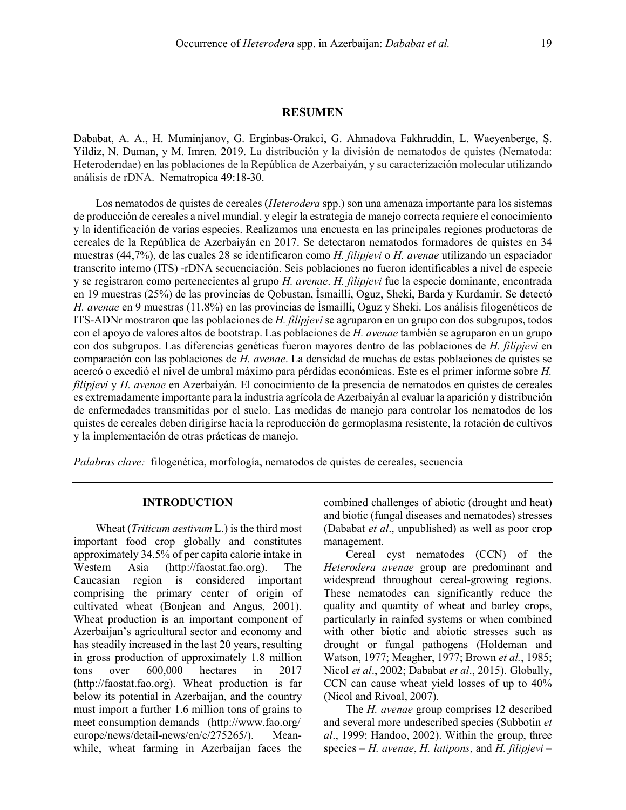## **RESUMEN**

Dababat, A. A., H. Muminjanov, G. Erginbas-Orakci, G. Ahmadova Fakhraddin, L. Waeyenberge, Ş. Yildiz, N. Duman, y M. Imren. 2019. La distribución y la división de nematodos de quistes (Nematoda: Heteroderıdae) en las poblaciones de la República de Azerbaiyán, y su caracterización molecular utilizando análisis de rDNA. Nematropica 49:18-30.

Los nematodos de quistes de cereales (*Heterodera* spp.) son una amenaza importante para los sistemas de producción de cereales a nivel mundial, y elegir la estrategia de manejo correcta requiere el conocimiento y la identificación de varias especies. Realizamos una encuesta en las principales regiones productoras de cereales de la República de Azerbaiyán en 2017. Se detectaron nematodos formadores de quistes en 34 muestras (44,7%), de las cuales 28 se identificaron como *H. filipjevi* o *H. avenae* utilizando un espaciador transcrito interno (ITS) -rDNA secuenciación. Seis poblaciones no fueron identificables a nivel de especie y se registraron como pertenecientes al grupo *H. avenae*. *H. filipjevi* fue la especie dominante, encontrada en 19 muestras (25%) de las provincias de Qobustan, İsmailli, Oguz, Sheki, Barda y Kurdamir. Se detectó *H. avenae* en 9 muestras (11.8%) en las provincias de İsmailli, Oguz y Sheki. Los análisis filogenéticos de ITS-ADNr mostraron que las poblaciones de *H. filipjevi* se agruparon en un grupo con dos subgrupos, todos con el apoyo de valores altos de bootstrap. Las poblaciones de *H. avenae* también se agruparon en un grupo con dos subgrupos. Las diferencias genéticas fueron mayores dentro de las poblaciones de *H. filipjevi* en comparación con las poblaciones de *H. avenae*. La densidad de muchas de estas poblaciones de quistes se acercó o excedió el nivel de umbral máximo para pérdidas económicas. Este es el primer informe sobre *H. filipjevi* y *H. avenae* en Azerbaiyán. El conocimiento de la presencia de nematodos en quistes de cereales es extremadamente importante para la industria agrícola de Azerbaiyán al evaluar la aparición y distribución de enfermedades transmitidas por el suelo. Las medidas de manejo para controlar los nematodos de los quistes de cereales deben dirigirse hacia la reproducción de germoplasma resistente, la rotación de cultivos y la implementación de otras prácticas de manejo.

*Palabras clave:* filogenética, morfología, nematodos de quistes de cereales, secuencia

#### **INTRODUCTION**

Wheat (*Triticum aestivum* L.) is the third most important food crop globally and constitutes approximately 34.5% of per capita calorie intake in Western Asia (http://faostat.fao.org). The Caucasian region is considered important comprising the primary center of origin of cultivated wheat (Bonjean and Angus, 2001). Wheat production is an important component of Azerbaijan's agricultural sector and economy and has steadily increased in the last 20 years, resulting in gross production of approximately 1.8 million tons over 600,000 hectares in 2017 (http://faostat.fao.org). Wheat production is far below its potential in Azerbaijan, and the country must import a further 1.6 million tons of grains to meet consumption demands [\(http://www.fao.org/](http://www.fao.org/) europe/news/detail-news/en/c/275265/). Meanwhile, wheat farming in Azerbaijan faces the combined challenges of abiotic (drought and heat) and biotic (fungal diseases and nematodes) stresses (Dababat *et al*., unpublished) as well as poor crop management.

Cereal cyst nematodes (CCN) of the *Heterodera avenae* group are predominant and widespread throughout cereal-growing regions. These nematodes can significantly reduce the quality and quantity of wheat and barley crops, particularly in rainfed systems or when combined with other biotic and abiotic stresses such as drought or fungal pathogens (Holdeman and Watson, 1977; Meagher, 1977; Brown *et al.*, 1985; Nicol *et al*., 2002; Dababat *et al*., 2015). Globally, CCN can cause wheat yield losses of up to 40% (Nicol and Rivoal, 2007).

The *H. avenae* group comprises 12 described and several more undescribed species (Subbotin *et al*., 1999; Handoo, 2002). Within the group, three species – *H. avenae*, *H. latipons*, and *H. filipjevi* –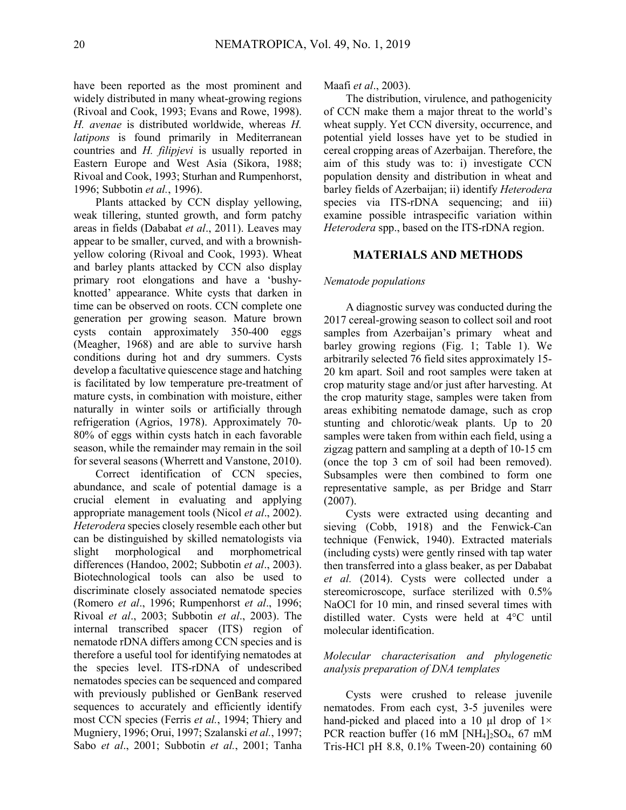have been reported as the most prominent and widely distributed in many wheat-growing regions (Rivoal and Cook, 1993; Evans and Rowe, 1998). *H. avenae* is distributed worldwide, whereas *H. latipons* is found primarily in Mediterranean countries and *H. filipjevi* is usually reported in Eastern Europe and West Asia (Sikora, 1988; Rivoal and Cook, 1993; Sturhan and Rumpenhorst, 1996; Subbotin *et al.*, 1996).

Plants attacked by CCN display yellowing, weak tillering, stunted growth, and form patchy areas in fields (Dababat *et al*., 2011). Leaves may appear to be smaller, curved, and with a brownishyellow coloring (Rivoal and Cook, 1993). Wheat and barley plants attacked by CCN also display primary root elongations and have a 'bushyknotted' appearance. White cysts that darken in time can be observed on roots. CCN complete one generation per growing season. Mature brown cysts contain approximately 350-400 eggs (Meagher, 1968) and are able to survive harsh conditions during hot and dry summers. Cysts develop a facultative quiescence stage and hatching is facilitated by low temperature pre-treatment of mature cysts, in combination with moisture, either naturally in winter soils or artificially through refrigeration (Agrios, 1978). Approximately 70- 80% of eggs within cysts hatch in each favorable season, while the remainder may remain in the soil for several seasons (Wherrett and Vanstone, 2010).

Correct identification of CCN species, abundance, and scale of potential damage is a crucial element in evaluating and applying appropriate management tools (Nicol *et al*., 2002). *Heterodera* species closely resemble each other but can be distinguished by skilled nematologists via slight morphological and morphometrical differences (Handoo, 2002; Subbotin *et al*., 2003). Biotechnological tools can also be used to discriminate closely associated nematode species (Romero *et al*., 1996; Rumpenhorst *et al*., 1996; Rivoal *et al*., 2003; Subbotin *et al*., 2003). The internal transcribed spacer (ITS) region of nematode rDNA differs among CCN species and is therefore a useful tool for identifying nematodes at the species level. ITS-rDNA of undescribed nematodes species can be sequenced and compared with previously published or GenBank reserved sequences to accurately and efficiently identify most CCN species (Ferris *et al.*, 1994; Thiery and Mugniery, 1996; Orui, 1997; Szalanski *et al.*, 1997; Sabo *et al*., 2001; Subbotin *et al.*, 2001; Tanha Maafi *et al*., 2003).

The distribution, virulence, and pathogenicity of CCN make them a major threat to the world's wheat supply. Yet CCN diversity, occurrence, and potential yield losses have yet to be studied in cereal cropping areas of Azerbaijan. Therefore, the aim of this study was to: i) investigate CCN population density and distribution in wheat and barley fields of Azerbaijan; ii) identify *Heterodera* species via ITS-rDNA sequencing; and iii) examine possible intraspecific variation within *Heterodera* spp., based on the ITS-rDNA region.

## **MATERIALS AND METHODS**

#### *Nematode populations*

A diagnostic survey was conducted during the 2017 cereal-growing season to collect soil and root samples from Azerbaijan's primary wheat and barley growing regions (Fig. 1; Table 1). We arbitrarily selected 76 field sites approximately 15- 20 km apart. Soil and root samples were taken at crop maturity stage and/or just after harvesting. At the crop maturity stage, samples were taken from areas exhibiting nematode damage, such as crop stunting and chlorotic/weak plants. Up to 20 samples were taken from within each field, using a zigzag pattern and sampling at a depth of 10-15 cm (once the top 3 cm of soil had been removed). Subsamples were then combined to form one representative sample, as per Bridge and Starr (2007).

Cysts were extracted using decanting and sieving (Cobb, 1918) and the Fenwick-Can technique (Fenwick, 1940). Extracted materials (including cysts) were gently rinsed with tap water then transferred into a glass beaker, as per Dababat *et al.* (2014). Cysts were collected under a stereomicroscope, surface sterilized with 0.5% NaOCl for 10 min, and rinsed several times with distilled water. Cysts were held at 4°C until molecular identification.

#### *Molecular characterisation and phylogenetic analysis preparation of DNA templates*

Cysts were crushed to release juvenile nematodes. From each cyst, 3-5 juveniles were hand-picked and placed into a 10  $\mu$ l drop of 1 $\times$ PCR reaction buffer  $(16 \text{ mM } [NH_4]_2SO_4, 67 \text{ mM}$ Tris-HCl pH 8.8, 0.1% Tween-20) containing 60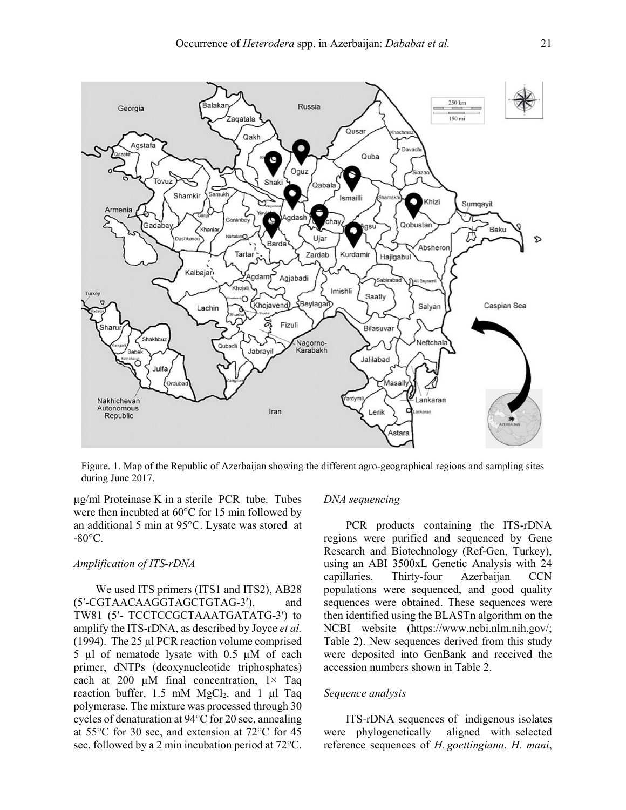

Figure. 1. Map of the Republic of Azerbaijan showing the different agro-geographical regions and sampling sites during June 2017.

µg/ml Proteinase K in a sterile PCR tube. Tubes were then incubted at 60°C for 15 min followed by an additional 5 min at 95°C. Lysate was stored at  $-80^{\circ}$ C.

#### *Amplification of ITS-rDNA*

We used ITS primers (ITS1 and ITS2), AB28 (5ʹ-CGTAACAAGGTAGCTGTAG-3ʹ), and TW81 (5ʹ- TCCTCCGCTAAATGATATG-3ʹ) to amplify the ITS-rDNA, as described by Joyce *et al.* (1994). The 25 µl PCR reaction volume comprised 5 µl of nematode lysate with 0.5 µM of each primer, dNTPs (deoxynucleotide triphosphates) each at 200  $\mu$ M final concentration,  $1 \times$  Taq reaction buffer,  $1.5 \text{ mM } MgCl_2$ , and  $1 \text{ ul } Taq$ polymerase. The mixture was processed through 30 cycles of denaturation at 94°C for 20 sec, annealing at 55°C for 30 sec, and extension at 72°C for 45 sec, followed by a 2 min incubation period at 72°C.

#### *DNA sequencing*

PCR products containing the ITS-rDNA regions were purified and sequenced by Gene Research and Biotechnology (Ref-Gen, Turkey), using an ABI 3500xL Genetic Analysis with 24 capillaries. Thirty-four Azerbaijan CCN populations were sequenced, and good quality sequences were obtained. These sequences were then identified using the BLASTn algorithm on the NCBI website (https://www.ncbi.nlm.nih.gov/; Table 2). New sequences derived from this study were deposited into GenBank and received the accession numbers shown in Table 2.

#### *Sequence analysis*

ITS-rDNA sequences of indigenous isolates were phylogenetically aligned with selected reference sequences of *H. goettingiana*, *H. mani*,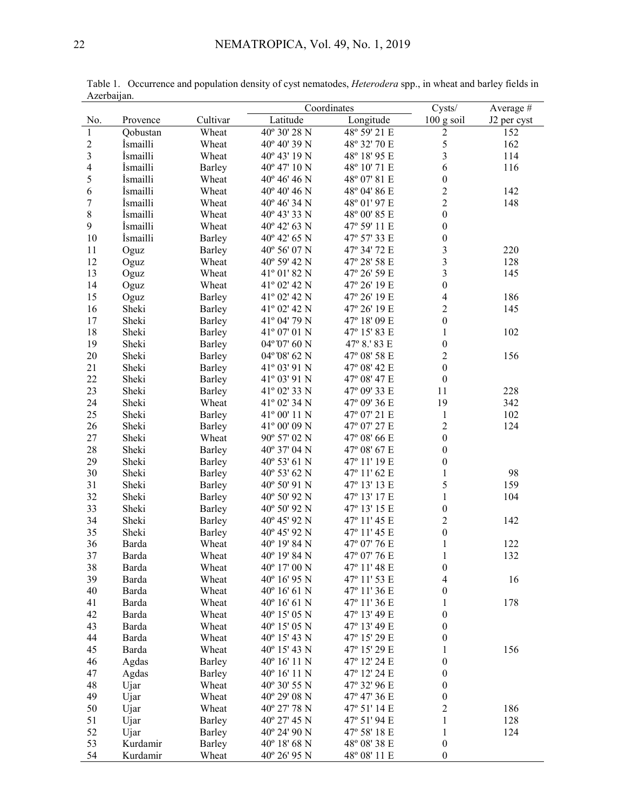|                          |                  |                  | Coordinates                  |                              | Cysts/                           | Average #   |
|--------------------------|------------------|------------------|------------------------------|------------------------------|----------------------------------|-------------|
| No.                      | Provence         | Cultivar         | Latitude                     | Longitude                    | 100 g soil                       | J2 per cyst |
| $\,1$                    | Qobustan         | Wheat            | 40° 30' 28 N                 | 48° 59' 21 E                 | $\mathbf{2}$                     | 152         |
| $\overline{c}$           | İsmailli         | Wheat            | 40° 40' 39 N                 | 48° 32' 70 E                 | 5                                | 162         |
| $\overline{\mathbf{3}}$  | <i>Ismailli</i>  | Wheat            | 40° 43' 19 N                 | 48° 18' 95 E                 | 3                                | 114         |
| $\overline{\mathcal{A}}$ | İsmailli         | Barley           | 40° 47' 10 N                 | 48° 10' 71 E                 | 6                                | 116         |
| 5                        | İsmailli         | Wheat            | 40° 46' 46 N                 | 48° 07' 81 E                 | $\boldsymbol{0}$                 |             |
| $\epsilon$               | İsmailli         | Wheat            | 40° 40' 46 N                 | 48° 04' 86 E                 | $\overline{c}$                   | 142         |
| $\boldsymbol{7}$         | İsmailli         | Wheat            | 40° 46' 34 N                 | 48° 01' 97 E                 | $\overline{2}$                   | 148         |
| 8                        | İsmailli         | Wheat            | 40° 43' 33 N                 | 48° 00' 85 E                 | $\boldsymbol{0}$                 |             |
| 9                        | İsmailli         | Wheat            | 40° 42' 63 N                 | 47° 59' 11 E                 | $\boldsymbol{0}$                 |             |
| 10                       | İsmailli         | Barley           | 40° 42' 65 N                 | 47° 57' 33 E                 | $\boldsymbol{0}$                 |             |
| 11                       | Oguz             | Barley           | 40° 56' 07 N                 | 47° 34' 72 E                 | $\overline{\mathbf{3}}$          | 220         |
| 12                       | Oguz             | Wheat            | 40° 59' 42 N                 | 47° 28' 58 E                 | $\overline{\mathbf{3}}$          | 128         |
| 13                       | Oguz             | Wheat            | 41° 01' 82 N                 | 47° 26' 59 E                 | $\overline{\mathbf{3}}$          | 145         |
| 14                       | Oguz             | Wheat            | 41° 02' 42 N                 | 47° 26' 19 E                 | $\boldsymbol{0}$                 |             |
| 15                       | Oguz             | <b>Barley</b>    | 41° 02' 42 N                 | 47° 26' 19 E                 | $\overline{\mathcal{L}}$         | 186         |
| 16                       | Sheki            | <b>Barley</b>    | 41° 02' 42 N                 | 47° 26' 19 E                 | $\overline{2}$                   | 145         |
| 17                       | Sheki            | <b>Barley</b>    | 41° 04' 79 N                 | 47° 18' 09 E                 | $\boldsymbol{0}$                 |             |
| 18                       | Sheki            | <b>Barley</b>    | 41° 07' 01 N                 | 47° 15' 83 E                 | 1                                | 102         |
| 19                       | Sheki            | Barley           | 04° 07' 60 N                 | 47° 8.' 83 E                 | $\boldsymbol{0}$                 |             |
| 20                       | Sheki            | Barley           | 04° 08' 62 N                 | 47° 08' 58 E                 | $\overline{2}$                   | 156         |
| 21                       | Sheki            | Barley           | 41° 03' 91 N                 | 47° 08' 42 E                 | $\boldsymbol{0}$                 |             |
| 22                       | Sheki            | Barley           | 41° 03' 91 N                 | 47° 08' 47 E                 | $\boldsymbol{0}$                 |             |
| 23                       | Sheki            | Barley           | 41° 02' 33 N                 | 47° 09' 33 E                 | 11                               | 228         |
| 24                       | Sheki            | Wheat            | 41° 02' 34 N                 | 47° 09' 36 E                 | 19                               | 342         |
| 25                       | Sheki            | Barley           | 41° 00' 11 N                 | 47° 07' 21 E                 | $\mathbf{1}$                     | 102         |
| 26                       | Sheki            | <b>Barley</b>    | 41° 00' 09 N                 | 47° 07' 27 E                 | $\overline{c}$                   | 124         |
| 27                       | Sheki            | Wheat            | 90° 57' 02 N                 | 47° 08' 66 E                 | $\boldsymbol{0}$                 |             |
| 28                       | Sheki            | Barley           | 40° 37' 04 N                 | 47° 08' 67 E                 | $\boldsymbol{0}$                 |             |
| 29                       | Sheki            | Barley           | 40° 53' 61 N                 | 47° 11' 19 E                 | $\boldsymbol{0}$                 |             |
| 30                       | Sheki            | Barley           | 40° 53' 62 N                 | 47° 11' 62 E                 | 1                                | 98          |
| 31                       | Sheki            | Barley           | 40° 50' 91 N                 | 47° 13' 13 E                 | 5                                | 159         |
| 32                       | Sheki            | Barley           | 40° 50' 92 N                 | 47° 13' 17 E                 | $\mathbf{1}$                     | 104         |
| 33                       | Sheki            | Barley           | 40° 50' 92 N                 | 47° 13' 15 E                 | $\boldsymbol{0}$                 |             |
| 34                       | Sheki            | Barley           | 40° 45' 92 N                 | 47° 11' 45 E                 | $\overline{2}$                   | 142         |
| 35                       | Sheki            | Barley           | 40° 45' 92 N                 | 47° 11' 45 E                 | $\boldsymbol{0}$                 |             |
| 36                       | Barda            | Wheat            | 40° 19′ 84 N                 | 47° 07' 76 E                 | $\mathbf{1}$                     | 122         |
| 37                       | Barda            | Wheat            | 40° 19' 84 N                 | 47° 07' 76 E                 | $\mathbf{1}$                     | 132         |
| 38                       | Barda            | Wheat            | 40° 17' 00 N                 | 47° 11' 48 E                 | $\boldsymbol{0}$                 |             |
| 39                       | Barda            | Wheat            | 40° 16' 95 N                 | 47° 11' 53 E                 | $\overline{4}$                   | 16          |
| 40                       | Barda            | Wheat            | 40° 16' 61 N                 | 47° 11' 36 E                 | 0                                |             |
| 41                       | Barda            | Wheat            | 40° 16' 61 N                 | 47° 11' 36 E                 | 1                                | 178         |
| 42                       | Barda            | Wheat            | 40° 15' 05 N                 | 47° 13' 49 E                 | $\boldsymbol{0}$                 |             |
| 43                       | Barda            | Wheat            | 40° 15' 05 N                 | 47° 13' 49 E                 | $\mathbf{0}$                     |             |
| 44                       | Barda            | Wheat            | 40° 15' 43 N                 | 47° 15' 29 E                 | $\boldsymbol{0}$                 |             |
| 45                       | Barda            | Wheat            | 40° 15′ 43 N                 | 47° 15' 29 E                 | 1                                | 156         |
| 46                       |                  |                  | 40° 16' 11 N                 | 47° 12′ 24 E                 | $\boldsymbol{0}$                 |             |
| 47                       | Agdas            | Barley<br>Barley | 40° 16' 11 N                 | 47° 12' 24 E                 | $\boldsymbol{0}$                 |             |
|                          | Agdas            |                  | 40° 30' 55 N                 |                              | $\boldsymbol{0}$                 |             |
| 48<br>49                 | Ujar             | Wheat            | 40° 29′ 08 N                 | 47° 32′ 96 E<br>47° 47' 36 E | $\boldsymbol{0}$                 |             |
| 50                       | Ujar             | Wheat<br>Wheat   | 40° 27' 78 N                 | 47° 51' 14 E                 | $\overline{2}$                   | 186         |
|                          | Ujar             |                  | 40° 27' 45 N                 | 47° 51' 94 E                 |                                  |             |
| 51                       | Ujar             | Barley           |                              |                              | $\mathbf{1}$                     | 128         |
| 52<br>53                 | Ujar<br>Kurdamir | Barley           | 40° 24' 90 N<br>40° 18′ 68 N | 47° 58' 18 E<br>48° 08' 38 E | $\mathbf{1}$<br>$\boldsymbol{0}$ | 124         |
|                          |                  | <b>Barley</b>    |                              | $48^{\rm o}$ 08' $11$ E      |                                  |             |
| 54                       | Kurdamir         | Wheat            | 40° 26' 95 N                 |                              | $\boldsymbol{0}$                 |             |

Table 1. Occurrence and population density of cyst nematodes, *Heterodera* spp., in wheat and barley fields in Azerbaijan.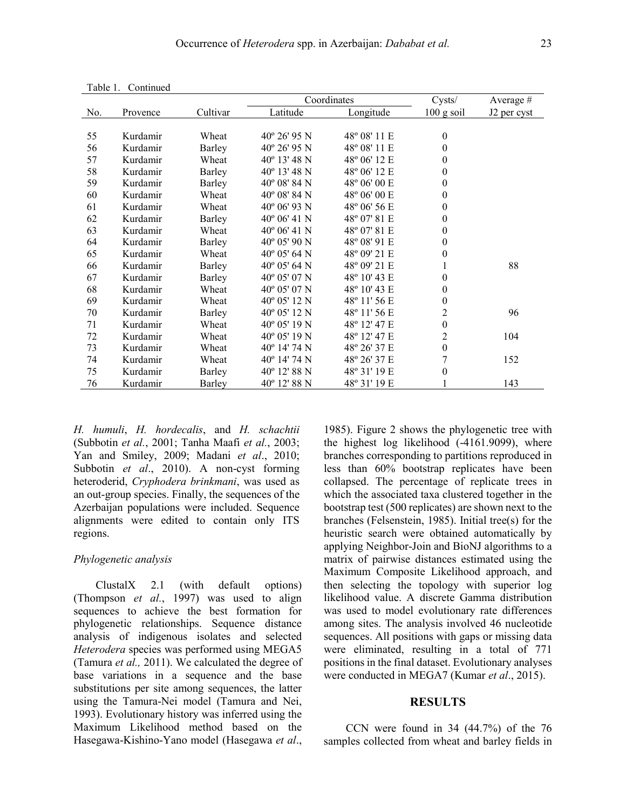| 140101<br>Communicu |          |               |                       |                       |                  |                         |
|---------------------|----------|---------------|-----------------------|-----------------------|------------------|-------------------------|
|                     |          |               | Coordinates           |                       | Cysts/           | Average $#$             |
| No.                 | Provence | Cultivar      | Latitude              | Longitude             | $100$ g soil     | J <sub>2</sub> per cyst |
|                     |          |               |                       |                       |                  |                         |
| 55                  | Kurdamir | Wheat         | $40^{\circ} 26' 95 N$ | 48° 08′ 11 E          | $\boldsymbol{0}$ |                         |
| 56                  | Kurdamir | Barley        | $40^{\circ}$ 26' 95 N | 48° 08′ 11 E          | $\theta$         |                         |
| 57                  | Kurdamir | Wheat         | $40^{\circ}$ 13' 48 N | 48° 06′ 12 E          | $\theta$         |                         |
| 58                  | Kurdamir | <b>Barley</b> | $40^{\circ}$ 13' 48 N | 48° 06′ 12 E          | $\boldsymbol{0}$ |                         |
| 59                  | Kurdamir | Barley        | $40^{\circ}$ 08' 84 N | 48° 06' 00 E          | $\theta$         |                         |
| 60                  | Kurdamir | Wheat         | $40^{\circ}$ 08' 84 N | $48^{\circ}$ 06' 00 E | $\boldsymbol{0}$ |                         |
| 61                  | Kurdamir | Wheat         | $40^{\circ}$ 06' 93 N | 48° 06′ 56 E          | $\theta$         |                         |
| 62                  | Kurdamir | <b>Barley</b> | $40^{\circ}$ 06' 41 N | 48° 07′ 81 E          | $\theta$         |                         |
| 63                  | Kurdamir | Wheat         | $40^{\circ}$ 06' 41 N | 48° 07′ 81 E          | $\theta$         |                         |
| 64                  | Kurdamir | Barley        | $40^{\circ}$ 05' 90 N | 48° 08′ 91 E          | $\theta$         |                         |
| 65                  | Kurdamir | Wheat         | $40^{\circ}$ 05' 64 N | 48° 09' 21 E          | $\theta$         |                         |
| 66                  | Kurdamir | Barley        | $40^{\circ}$ 05' 64 N | 48° 09′ 21 E          |                  | 88                      |
| 67                  | Kurdamir | <b>Barley</b> | $40^{\circ}$ 05' 07 N | 48° 10' 43 E          | $\theta$         |                         |
| 68                  | Kurdamir | Wheat         | 40° 05' 07 N          | 48° 10' 43 E          | $\boldsymbol{0}$ |                         |
| 69                  | Kurdamir | Wheat         | $40^{\circ}$ 05' 12 N | 48° 11′ 56 E          | $\boldsymbol{0}$ |                         |
| 70                  | Kurdamir | Barley        | $40^{\circ}$ 05' 12 N | 48° 11′ 56 E          | $\overline{c}$   | 96                      |
| 71                  | Kurdamir | Wheat         | $40^{\circ}$ 05' 19 N | 48° 12′ 47 E          | $\boldsymbol{0}$ |                         |
| 72                  | Kurdamir | Wheat         | $40^{\circ}$ 05' 19 N | 48° 12′ 47 E          | 2                | 104                     |
| 73                  | Kurdamir | Wheat         | $40^{\circ}$ 14' 74 N | 48° 26' 37 E          | $\boldsymbol{0}$ |                         |
| 74                  | Kurdamir | Wheat         | 40° 14′ 74 N          | 48° 26′ 37 E          | 7                | 152                     |
| 75                  | Kurdamir | Barley        | $40^{\circ}$ 12' 88 N | 48° 31' 19 E          | $\theta$         |                         |

76 Kurdamir Barley 40° 12' 88 N 48° 31' 19 E 1 143

Table 1. Continued

*H. humuli*, *H. hordecalis*, and *H. schachtii* (Subbotin *et al.*, 2001; Tanha Maafi *et al.*, 2003; Yan and Smiley, 2009; Madani *et al*., 2010; Subbotin *et al*., 2010). A non-cyst forming heteroderid, *Cryphodera brinkmani*, was used as an out-group species. Finally, the sequences of the Azerbaijan populations were included. Sequence alignments were edited to contain only ITS regions.

#### *Phylogenetic analysis*

ClustalX 2.1 (with default options) (Thompson *et al.*, 1997) was used to align sequences to achieve the best formation for phylogenetic relationships. Sequence distance analysis of indigenous isolates and selected *Heterodera* species was performed using MEGA5 (Tamura *et al.,* 2011). We calculated the degree of base variations in a sequence and the base substitutions per site among sequences, the latter using the Tamura-Nei model (Tamura and Nei, 1993). Evolutionary history was inferred using the Maximum Likelihood method based on the Hasegawa-Kishino-Yano model (Hasegawa *et al*.,

1985). Figure 2 shows the phylogenetic tree with the highest log likelihood (-4161.9099), where branches corresponding to partitions reproduced in less than 60% bootstrap replicates have been collapsed. The percentage of replicate trees in which the associated taxa clustered together in the bootstrap test (500 replicates) are shown next to the branches (Felsenstein, 1985). Initial tree(s) for the heuristic search were obtained automatically by applying Neighbor-Join and BioNJ algorithms to a matrix of pairwise distances estimated using the Maximum Composite Likelihood approach, and then selecting the topology with superior log likelihood value. A discrete Gamma distribution was used to model evolutionary rate differences among sites. The analysis involved 46 nucleotide sequences. All positions with gaps or missing data were eliminated, resulting in a total of 771 positions in the final dataset. Evolutionary analyses were conducted in MEGA7 (Kumar *et al*., 2015).

#### **RESULTS**

CCN were found in 34 (44.7%) of the 76 samples collected from wheat and barley fields in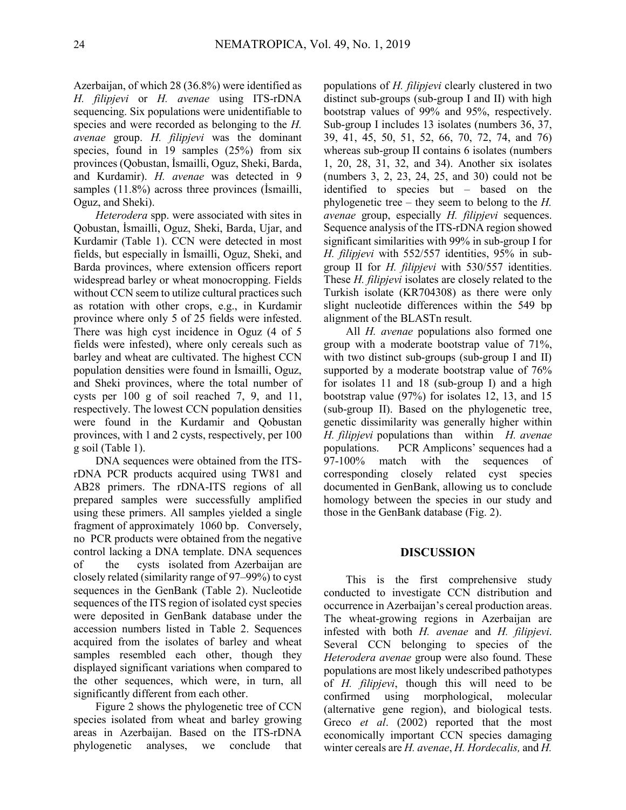Azerbaijan, of which 28 (36.8%) were identified as *H. filipjevi* or *H. avenae* using ITS-rDNA sequencing. Six populations were unidentifiable to species and were recorded as belonging to the *H. avenae* group. *H. filipjevi* was the dominant species, found in 19 samples (25%) from six provinces (Qobustan, İsmailli, Oguz, Sheki, Barda, and Kurdamir). *H. avenae* was detected in 9 samples (11.8%) across three provinces (İsmailli, Oguz, and Sheki).

*Heterodera* spp. were associated with sites in Qobustan, İsmailli, Oguz, Sheki, Barda, Ujar, and Kurdamir (Table 1). CCN were detected in most fields, but especially in İsmailli, Oguz, Sheki, and Barda provinces, where extension officers report widespread barley or wheat monocropping. Fields without CCN seem to utilize cultural practices such as rotation with other crops, e.g., in Kurdamir province where only 5 of 25 fields were infested. There was high cyst incidence in Oguz (4 of 5 fields were infested), where only cereals such as barley and wheat are cultivated. The highest CCN population densities were found in İsmailli, Oguz, and Sheki provinces, where the total number of cysts per 100 g of soil reached 7, 9, and 11, respectively. The lowest CCN population densities were found in the Kurdamir and Qobustan provinces, with 1 and 2 cysts, respectively, per 100 g soil (Table 1).

DNA sequences were obtained from the ITSrDNA PCR products acquired using TW81 and AB28 primers. The rDNA-ITS regions of all prepared samples were successfully amplified using these primers. All samples yielded a single fragment of approximately 1060 bp. Conversely, no PCR products were obtained from the negative control lacking a DNA template. DNA sequences of the cysts isolated from Azerbaijan are closely related (similarity range of 97–99%) to cyst sequences in the GenBank (Table 2). Nucleotide sequences of the ITS region of isolated cyst species were deposited in GenBank database under the accession numbers listed in Table 2. Sequences acquired from the isolates of barley and wheat samples resembled each other, though they displayed significant variations when compared to the other sequences, which were, in turn, all significantly different from each other.

Figure 2 shows the phylogenetic tree of CCN species isolated from wheat and barley growing areas in Azerbaijan. Based on the ITS-rDNA phylogenetic analyses, we conclude that

populations of *H. filipjevi* clearly clustered in two distinct sub-groups (sub-group I and II) with high bootstrap values of 99% and 95%, respectively. Sub-group I includes 13 isolates (numbers 36, 37, 39, 41, 45, 50, 51, 52, 66, 70, 72, 74, and 76) whereas sub-group II contains 6 isolates (numbers 1, 20, 28, 31, 32, and 34). Another six isolates (numbers 3, 2, 23, 24, 25, and 30) could not be identified to species but – based on the phylogenetic tree – they seem to belong to the *H. avenae* group, especially *H. filipjevi* sequences. Sequence analysis of the ITS-rDNA region showed significant similarities with 99% in sub-group I for *H. filipjevi* with 552/557 identities, 95% in subgroup II for *H. filipjevi* with 530/557 identities. These *H. filipjevi* isolates are closely related to the Turkish isolate (KR704308) as there were only slight nucleotide differences within the 549 bp alignment of the BLASTn result.

All *H. avenae* populations also formed one group with a moderate bootstrap value of 71%, with two distinct sub-groups (sub-group I and II) supported by a moderate bootstrap value of 76% for isolates 11 and 18 (sub-group I) and a high bootstrap value (97%) for isolates 12, 13, and 15 (sub-group II). Based on the phylogenetic tree, genetic dissimilarity was generally higher within *H. filipjevi* populations than within *H. avenae* populations. PCR Amplicons' sequences had a 97-100% match with the sequences of corresponding closely related cyst species documented in GenBank, allowing us to conclude homology between the species in our study and those in the GenBank database (Fig. 2).

### **DISCUSSION**

This is the first comprehensive study conducted to investigate CCN distribution and occurrence in Azerbaijan's cereal production areas. The wheat-growing regions in Azerbaijan are infested with both *H. avenae* and *H. filipjevi*. Several CCN belonging to species of the *Heterodera avenae* group were also found. These populations are most likely undescribed pathotypes of *H. filipjevi*, though this will need to be confirmed using morphological, molecular (alternative gene region), and biological tests. Greco *et al*. (2002) reported that the most economically important CCN species damaging winter cereals are *H. avenae*, *H. Hordecalis,* and *H.*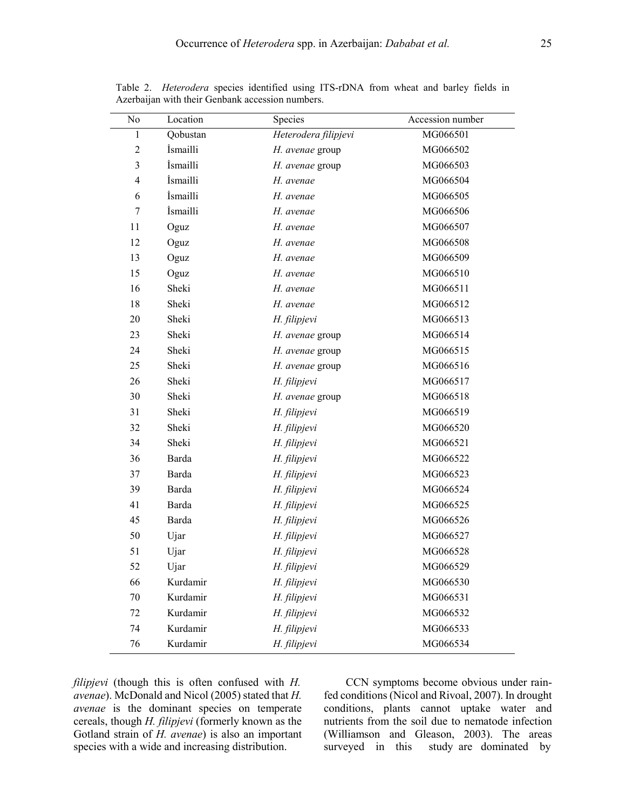| No             | Location | Species              | Accession number |
|----------------|----------|----------------------|------------------|
| $\,1$          | Qobustan | Heterodera filipjevi | MG066501         |
| $\sqrt{2}$     | İsmailli | H. avenae group      | MG066502         |
| 3              | İsmailli | H. avenae group      | MG066503         |
| $\overline{4}$ | İsmailli | H. avenae            | MG066504         |
| 6              | İsmailli | H. avenae            | MG066505         |
| 7              | İsmailli | H. avenae            | MG066506         |
| 11             | Oguz     | H. avenae            | MG066507         |
| 12             | Oguz     | H. avenae            | MG066508         |
| 13             | Oguz     | H. avenae            | MG066509         |
| 15             | Oguz     | H. avenae            | MG066510         |
| 16             | Sheki    | H. avenae            | MG066511         |
| 18             | Sheki    | H. avenae            | MG066512         |
| 20             | Sheki    | H. filipjevi         | MG066513         |
| 23             | Sheki    | H. avenae group      | MG066514         |
| 24             | Sheki    | H. avenae group      | MG066515         |
| 25             | Sheki    | H. avenae group      | MG066516         |
| 26             | Sheki    | H. filipjevi         | MG066517         |
| 30             | Sheki    | H. avenae group      | MG066518         |
| 31             | Sheki    | H. filipjevi         | MG066519         |
| 32             | Sheki    | H. filipjevi         | MG066520         |
| 34             | Sheki    | H. filipjevi         | MG066521         |
| 36             | Barda    | H. filipjevi         | MG066522         |
| 37             | Barda    | H. filipjevi         | MG066523         |
| 39             | Barda    | H. filipjevi         | MG066524         |
| 41             | Barda    | H. filipjevi         | MG066525         |
| 45             | Barda    | H. filipjevi         | MG066526         |
| 50             | Ujar     | H. filipjevi         | MG066527         |
| 51             | Ujar     | H. filipjevi         | MG066528         |
| 52             | Ujar     | H. filipjevi         | MG066529         |
| 66             | Kurdamir | H. filipjevi         | MG066530         |
| 70             | Kurdamir | H. filipjevi         | MG066531         |
| 72             | Kurdamir | H. filipjevi         | MG066532         |
| 74             | Kurdamir | H. filipjevi         | MG066533         |
| 76             | Kurdamir | H. filipjevi         | MG066534         |

Table 2. *Heterodera* species identified using ITS-rDNA from wheat and barley fields in Azerbaijan with their Genbank accession numbers.

*filipjevi* (though this is often confused with *H. avenae*). McDonald and Nicol (2005) stated that *H. avenae* is the dominant species on temperate cereals, though *H. filipjevi* (formerly known as the Gotland strain of *H. avenae*) is also an important species with a wide and increasing distribution.

CCN symptoms become obvious under rainfed conditions (Nicol and Rivoal, 2007). In drought conditions, plants cannot uptake water and nutrients from the soil due to nematode infection (Williamson and Gleason, 2003). The areas surveyed in this study are dominated by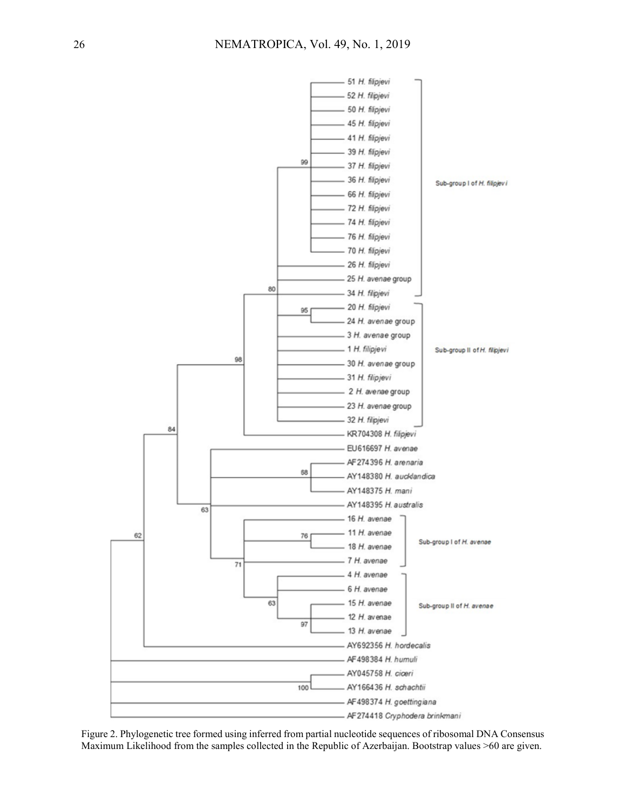

Figure 2. Phylogenetic tree formed using inferred from partial nucleotide sequences of ribosomal DNA Consensus Maximum Likelihood from the samples collected in the Republic of Azerbaijan. Bootstrap values >60 are given.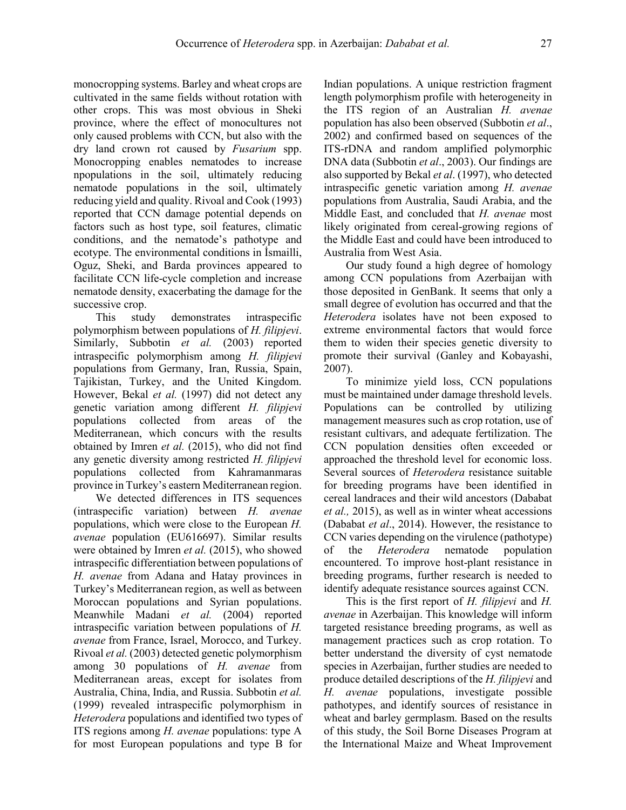monocropping systems. Barley and wheat crops are cultivated in the same fields without rotation with other crops. This was most obvious in Sheki province, where the effect of monocultures not only caused problems with CCN, but also with the dry land crown rot caused by *Fusarium* spp. Monocropping enables nematodes to increase npopulations in the soil, ultimately reducing nematode populations in the soil, ultimately reducing yield and quality. Rivoal and Cook (1993) reported that CCN damage potential depends on factors such as host type, soil features, climatic conditions, and the nematode's pathotype and ecotype. The environmental conditions in İsmailli, Oguz, Sheki, and Barda provinces appeared to facilitate CCN life-cycle completion and increase nematode density, exacerbating the damage for the successive crop.

This study demonstrates intraspecific polymorphism between populations of *H. filipjevi*. Similarly, Subbotin *et al.* (2003) reported intraspecific polymorphism among *H. filipjevi* populations from Germany, Iran, Russia, Spain, Tajikistan, Turkey, and the United Kingdom. However, Bekal *et al.* (1997) did not detect any genetic variation among different *H. filipjevi* populations collected from areas of the Mediterranean, which concurs with the results obtained by Imren *et al.* (2015), who did not find any genetic diversity among restricted *H. filipjevi* populations collected from Kahramanmaras province in Turkey's eastern Mediterranean region.

We detected differences in ITS sequences (intraspecific variation) between *H. avenae* populations, which were close to the European *H. avenae* population (EU616697). Similar results were obtained by Imren *et al.* (2015), who showed intraspecific differentiation between populations of *H. avenae* from Adana and Hatay provinces in Turkey's Mediterranean region, as well as between Moroccan populations and Syrian populations. Meanwhile Madani *et al.* (2004) reported intraspecific variation between populations of *H. avenae* from France, Israel, Morocco, and Turkey. Rivoal *et al.* (2003) detected genetic polymorphism among 30 populations of *H. avenae* from Mediterranean areas, except for isolates from Australia, China, India, and Russia. Subbotin *et al.* (1999) revealed intraspecific polymorphism in *Heterodera* populations and identified two types of ITS regions among *H. avenae* populations: type A for most European populations and type B for Indian populations. A unique restriction fragment length polymorphism profile with heterogeneity in the ITS region of an Australian *H. avenae* population has also been observed (Subbotin *et al*., 2002) and confirmed based on sequences of the ITS-rDNA and random amplified polymorphic DNA data (Subbotin *et al*., 2003). Our findings are also supported by Bekal *et al*. (1997), who detected intraspecific genetic variation among *H. avenae* populations from Australia, Saudi Arabia, and the Middle East, and concluded that *H. avenae* most likely originated from cereal-growing regions of the Middle East and could have been introduced to Australia from West Asia.

Our study found a high degree of homology among CCN populations from Azerbaijan with those deposited in GenBank. It seems that only a small degree of evolution has occurred and that the *Heterodera* isolates have not been exposed to extreme environmental factors that would force them to widen their species genetic diversity to promote their survival (Ganley and Kobayashi, 2007).

To minimize yield loss, CCN populations must be maintained under damage threshold levels. Populations can be controlled by utilizing management measures such as crop rotation, use of resistant cultivars, and adequate fertilization. The CCN population densities often exceeded or approached the threshold level for economic loss. Several sources of *Heterodera* resistance suitable for breeding programs have been identified in cereal landraces and their wild ancestors (Dababat *et al.,* 2015), as well as in winter wheat accessions (Dababat *et al*., 2014). However, the resistance to CCN varies depending on the virulence (pathotype) of the *Heterodera* nematode population encountered. To improve host-plant resistance in breeding programs, further research is needed to identify adequate resistance sources against CCN.

This is the first report of *H. filipjevi* and *H. avenae* in Azerbaijan. This knowledge will inform targeted resistance breeding programs, as well as management practices such as crop rotation. To better understand the diversity of cyst nematode species in Azerbaijan, further studies are needed to produce detailed descriptions of the *H. filipjevi* and *H. avenae* populations, investigate possible pathotypes, and identify sources of resistance in wheat and barley germplasm. Based on the results of this study, the Soil Borne Diseases Program at the International Maize and Wheat Improvement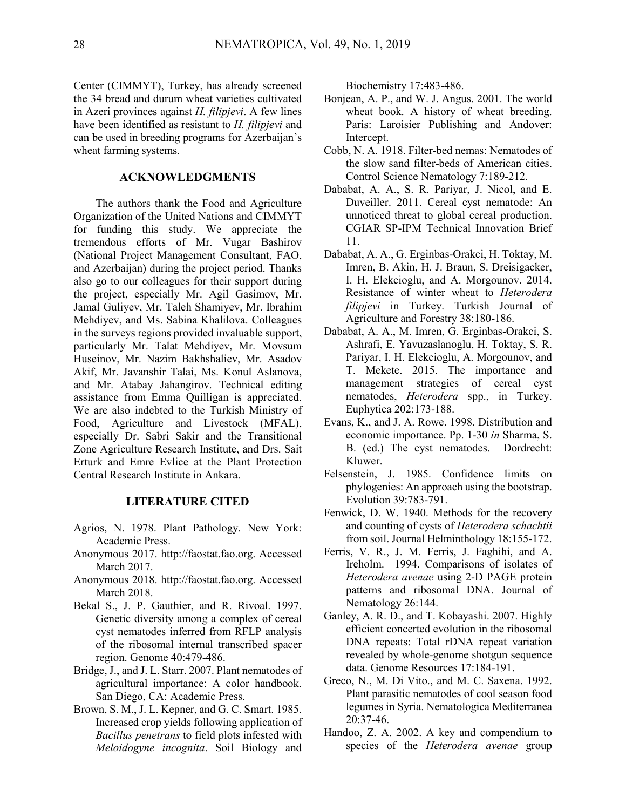Center (CIMMYT), Turkey, has already screened the 34 bread and durum wheat varieties cultivated in Azeri provinces against *H. filipjevi*. A few lines have been identified as resistant to *H. filipjevi* and can be used in breeding programs for Azerbaijan's wheat farming systems.

## **ACKNOWLEDGMENTS**

The authors thank the Food and Agriculture Organization of the United Nations and CIMMYT for funding this study. We appreciate the tremendous efforts of Mr. Vugar Bashirov (National Project Management Consultant, FAO, and Azerbaijan) during the project period. Thanks also go to our colleagues for their support during the project, especially Mr. Agil Gasimov, Mr. Jamal Guliyev, Mr. Taleh Shamiyev, Mr. Ibrahim Mehdiyev, and Ms. Sabina Khalilova. Colleagues in the surveys regions provided invaluable support, particularly Mr. Talat Mehdiyev, Mr. Movsum Huseinov, Mr. Nazim Bakhshaliev, Mr. Asadov Akif, Mr. Javanshir Talai, Ms. Konul Aslanova, and Mr. Atabay Jahangirov. Technical editing assistance from Emma Quilligan is appreciated. We are also indebted to the Turkish Ministry of Food, Agriculture and Livestock (MFAL), especially Dr. Sabri Sakir and the Transitional Zone Agriculture Research Institute, and Drs. Sait Erturk and Emre Evlice at the Plant Protection Central Research Institute in Ankara.

### **LITERATURE CITED**

- Agrios, N. 1978. Plant Pathology. New York: Academic Press.
- Anonymous 2017. http://faostat.fao.org. Accessed March 2017.
- Anonymous 2018. http://faostat.fao.org. Accessed March 2018.
- Bekal S., J. P. Gauthier, and R. Rivoal. 1997. Genetic diversity among a complex of cereal cyst nematodes inferred from RFLP analysis of the ribosomal internal transcribed spacer region. Genome 40:479-486.
- Bridge, J., and J. L. Starr. 2007. Plant nematodes of agricultural importance: A color handbook. San Diego, CA: Academic Press.
- Brown, S. M., J. L. Kepner, and G. C. Smart. 1985. Increased crop yields following application of *Bacillus penetrans* to field plots infested with *Meloidogyne incognita*. Soil Biology and

Biochemistry 17:483-486.

- Bonjean, A. P., and W. J. Angus. 2001. The world wheat book. A history of wheat breeding. Paris: Laroisier Publishing and Andover: Intercept.
- Cobb, N. A. 1918. Filter-bed nemas: Nematodes of the slow sand filter-beds of American cities. Control Science Nematology 7:189-212.
- Dababat, A. A., S. R. Pariyar, J. Nicol, and E. Duveiller. 2011. Cereal cyst nematode: An unnoticed threat to global cereal production. CGIAR SP-IPM Technical Innovation Brief 11.
- Dababat, A. A., G. Erginbas-Orakci, H. Toktay, M. Imren, B. Akin, H. J. Braun, S. Dreisigacker, I. H. Elekcioglu, and A. Morgounov. 2014. Resistance of winter wheat to *Heterodera filipjevi* in Turkey. Turkish Journal of Agriculture and Forestry 38:180-186.
- Dababat, A. A., M. Imren, G. Erginbas-Orakci, S. Ashrafi, E. Yavuzaslanoglu, H. Toktay, S. R. Pariyar, I. H. Elekcioglu, A. Morgounov, and T. Mekete. 2015. The importance and management strategies of cereal cyst nematodes, *Heterodera* spp., in Turkey. Euphytica 202:173-188.
- Evans, K., and J. A. Rowe. 1998. Distribution and economic importance. Pp. 1-30 *in* Sharma, S. B. (ed.) The cyst nematodes. Dordrecht: Kluwer.
- Felsenstein, J. 1985. Confidence limits on phylogenies: An approach using the bootstrap. Evolution 39:783-791.
- Fenwick, D. W. 1940. Methods for the recovery and counting of cysts of *Heterodera schachtii* from soil. Journal Helminthology 18:155-172.
- Ferris, V. R., J. M. Ferris, J. Faghihi, and A. Ireholm. 1994. Comparisons of isolates of *Heterodera avenae* using 2-D PAGE protein patterns and ribosomal DNA. Journal of Nematology 26:144.
- Ganley, A. R. D., and T. Kobayashi. 2007. Highly efficient concerted evolution in the ribosomal DNA repeats: Total rDNA repeat variation revealed by whole-genome shotgun sequence data. Genome Resources 17:184-191.
- Greco, N., M. Di Vito., and M. C. Saxena. 1992. Plant parasitic nematodes of cool season food legumes in Syria. Nematologica Mediterranea 20:37-46.
- Handoo, Z. A. 2002. A key and compendium to species of the *Heterodera avenae* group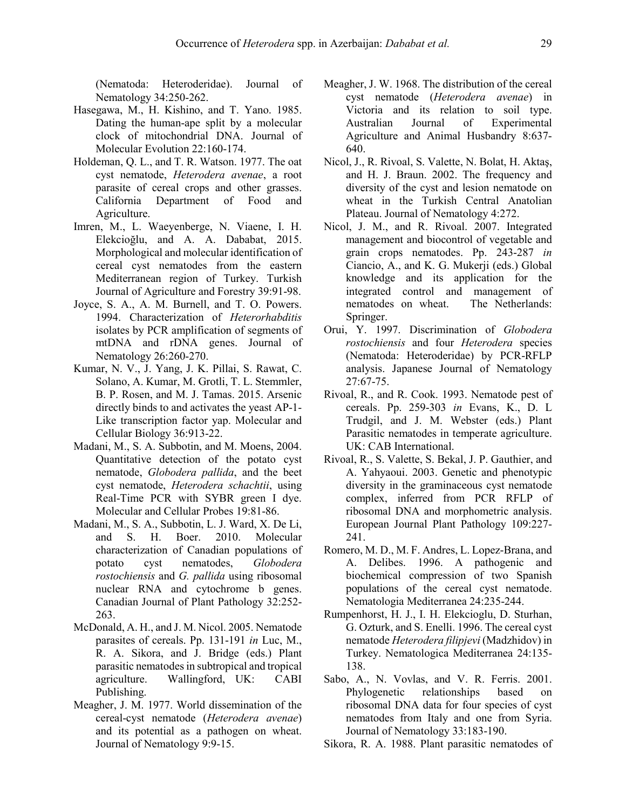(Nematoda: Heteroderidae). Journal of Nematology 34:250-262.

- Hasegawa, M., H. Kishino, and T. Yano. 1985. Dating the human-ape split by a molecular clock of mitochondrial DNA. Journal of Molecular Evolution 22:160-174.
- Holdeman, Q. L., and T. R. Watson. 1977. The oat cyst nematode, *Heterodera avenae*, a root parasite of cereal crops and other grasses. California Department of Food and Agriculture.
- Imren, M., L. Waeyenberge, N. Viaene, I. H. Elekcioğlu, and A. A. Dababat, 2015. Morphological and molecular identification of cereal cyst nematodes from the eastern Mediterranean region of Turkey. Turkish Journal of Agriculture and Forestry 39:91-98.
- Joyce, S. A., A. M. Burnell, and T. O. Powers. 1994. Characterization of *Heterorhabditis*  isolates by PCR amplification of segments of mtDNA and rDNA genes. Journal of Nematology 26:260-270.
- Kumar, N. V., J. Yang, J. K. Pillai, S. Rawat, C. Solano, A. Kumar, M. Grotli, T. L. Stemmler, B. P. Rosen, and M. J. Tamas. 2015. Arsenic directly binds to and activates the yeast AP-1- Like transcription factor yap. Molecular and Cellular Biology 36:913-22.
- Madani, M., S. A. Subbotin, and M. Moens, 2004. Quantitative detection of the potato cyst nematode, *Globodera pallida*, and the beet cyst nematode, *Heterodera schachtii*, using Real-Time PCR with SYBR green I dye. Molecular and Cellular Probes 19:81-86.
- Madani, M., S. A., Subbotin, L. J. Ward, X. De Li, and S. H. Boer. 2010. Molecular characterization of Canadian populations of potato cyst nematodes, *Globodera rostochiensis* and *G. pallida* using ribosomal nuclear RNA and cytochrome b genes. Canadian Journal of Plant Pathology 32:252- 263.
- McDonald, A. H., and J. M. Nicol. 2005. Nematode parasites of cereals. Pp. 131-191 *in* Luc, M., R. A. Sikora, and J. Bridge (eds.) Plant parasitic nematodes in subtropical and tropical agriculture. Wallingford, UK: CABI Publishing.
- Meagher, J. M. 1977. World dissemination of the cereal-cyst nematode (*Heterodera avenae*) and its potential as a pathogen on wheat. Journal of Nematology 9:9-15.
- Meagher, J. W. 1968. The distribution of the cereal cyst nematode (*Heterodera avenae*) in Victoria and its relation to soil type. Australian Journal of Experimental Agriculture and Animal Husbandry 8:637- 640.
- Nicol, J., R. Rivoal, S. Valette, N. Bolat, H. Aktaş, and H. J. Braun. 2002. The frequency and diversity of the cyst and lesion nematode on wheat in the Turkish Central Anatolian Plateau. Journal of Nematology 4:272.
- Nicol, J. M., and R. Rivoal. 2007. Integrated management and biocontrol of vegetable and grain crops nematodes. Pp. 243-287 *in* Ciancio, A., and K. G. Mukerji (eds.) Global knowledge and its application for the integrated control and management of nematodes on wheat. The Netherlands: Springer.
- Orui, Y. 1997. Discrimination of *Globodera rostochiensis* and four *Heterodera* species (Nematoda: Heteroderidae) by PCR-RFLP analysis. Japanese Journal of Nematology 27:67-75.
- Rivoal, R., and R. Cook. 1993. Nematode pest of cereals. Pp. 259-303 *in* Evans, K., D. L Trudgil, and J. M. Webster (eds.) Plant Parasitic nematodes in temperate agriculture. UK: CAB International.
- Rivoal, R., S. Valette, S. Bekal, J. P. Gauthier, and A. Yahyaoui. 2003. Genetic and phenotypic diversity in the graminaceous cyst nematode complex, inferred from PCR RFLP of ribosomal DNA and morphometric analysis. European Journal Plant Pathology 109:227- 241.
- Romero, M. D., M. F. Andres, L. Lopez-Brana, and A. Delibes. 1996. A pathogenic and biochemical compression of two Spanish populations of the cereal cyst nematode. Nematologia Mediterranea 24:235-244.
- Rumpenhorst, H. J., I. H. Elekcioglu, D. Sturhan, G. Ozturk, and S. Enelli. 1996. The cereal cyst nematode *Heterodera filipjevi* (Madzhidov) in Turkey. Nematologica Mediterranea 24:135- 138.
- Sabo, A., N. Vovlas, and V. R. Ferris. 2001. Phylogenetic relationships based on ribosomal DNA data for four species of cyst nematodes from Italy and one from Syria. Journal of Nematology 33:183-190.
- Sikora, R. A. 1988. Plant parasitic nematodes of